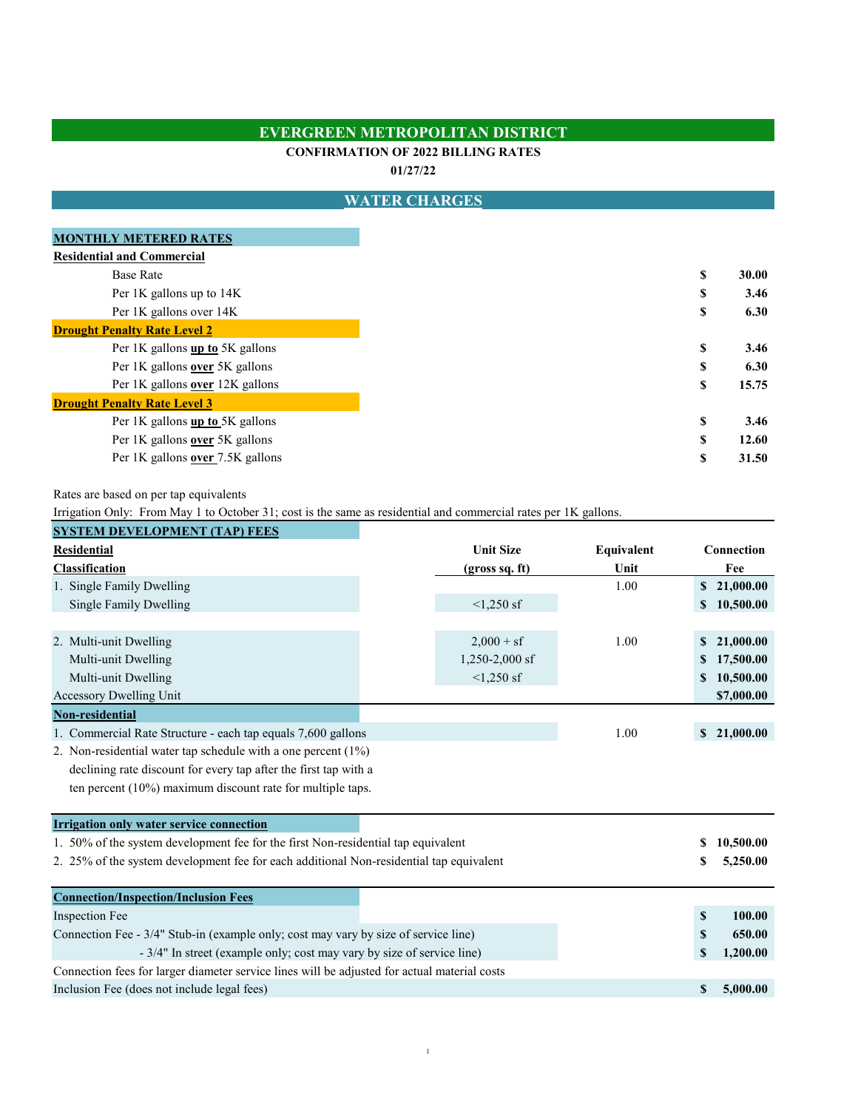## **EVERGREEN METROPOLITAN DISTRICT**

#### **CONFIRMATION OF 2022 BILLING RATES**

**01/27/22**

## **WATER CHARGES**

| <b>MONTHLY METERED RATES</b>        |    |
|-------------------------------------|----|
| <b>Residential and Commercial</b>   |    |
| <b>Base Rate</b>                    | \$ |
| Per 1K gallons up to 14K            | S  |
| Per 1K gallons over 14K             | \$ |
| <b>Drought Penalty Rate Level 2</b> |    |
| Per 1K gallons up to 5K gallons     | \$ |
| Per 1K gallons over 5K gallons      | S  |
| Per 1K gallons over 12K gallons     | S  |
| <b>Drought Penalty Rate Level 3</b> |    |
| Per 1K gallons up to 5K gallons     | S  |
| Per 1K gallons over 5K gallons      | \$ |
| Per 1K gallons over 7.5K gallons    | \$ |
|                                     |    |

Rates are based on per tap equivalents

Irrigation Only: From May 1 to October 31; cost is the same as residential and commercial rates per 1K gallons.

| <b>SYSTEM DEVELOPMENT (TAP) FEES</b>                                                         |  |                  |            |              |             |  |  |  |
|----------------------------------------------------------------------------------------------|--|------------------|------------|--------------|-------------|--|--|--|
| <b>Residential</b>                                                                           |  | <b>Unit Size</b> | Equivalent |              | Connection  |  |  |  |
| Classification                                                                               |  | (gross sq. ft)   | Unit       |              | Fee         |  |  |  |
| 1. Single Family Dwelling                                                                    |  |                  | 1.00       |              | \$21,000.00 |  |  |  |
| Single Family Dwelling                                                                       |  | $<1,250$ sf      |            | \$           | 10,500.00   |  |  |  |
|                                                                                              |  |                  |            |              |             |  |  |  |
| 2. Multi-unit Dwelling                                                                       |  | $2,000 + sf$     | 1.00       | \$           | 21,000.00   |  |  |  |
| Multi-unit Dwelling                                                                          |  | $1,250-2,000$ sf |            |              | 17,500.00   |  |  |  |
| Multi-unit Dwelling                                                                          |  | $<1,250$ sf      |            | \$           | 10,500.00   |  |  |  |
| Accessory Dwelling Unit                                                                      |  |                  |            |              | \$7,000.00  |  |  |  |
| Non-residential                                                                              |  |                  |            |              |             |  |  |  |
| 1. Commercial Rate Structure - each tap equals 7,600 gallons                                 |  |                  | 1.00       | $\mathbf{s}$ | 21,000.00   |  |  |  |
| 2. Non-residential water tap schedule with a one percent $(1\%)$                             |  |                  |            |              |             |  |  |  |
| declining rate discount for every tap after the first tap with a                             |  |                  |            |              |             |  |  |  |
| ten percent $(10\%)$ maximum discount rate for multiple taps.                                |  |                  |            |              |             |  |  |  |
| <b>Irrigation only water service connection</b>                                              |  |                  |            |              |             |  |  |  |
| 1. 50% of the system development fee for the first Non-residential tap equivalent            |  |                  |            |              | 10,500.00   |  |  |  |
| 2. 25% of the system development fee for each additional Non-residential tap equivalent      |  |                  |            |              | 5,250.00    |  |  |  |
| <b>Connection/Inspection/Inclusion Fees</b>                                                  |  |                  |            |              |             |  |  |  |
| Inspection Fee                                                                               |  |                  |            | \$           | 100.00      |  |  |  |
| Connection Fee - 3/4" Stub-in (example only; cost may vary by size of service line)          |  |                  |            | S            | 650.00      |  |  |  |
| - 3/4" In street (example only; cost may vary by size of service line)                       |  |                  | \$         | 1,200.00     |             |  |  |  |
| Connection fees for larger diameter service lines will be adjusted for actual material costs |  |                  |            |              |             |  |  |  |
| Inclusion Fee (does not include legal fees)                                                  |  |                  |            | \$           | 5,000.00    |  |  |  |